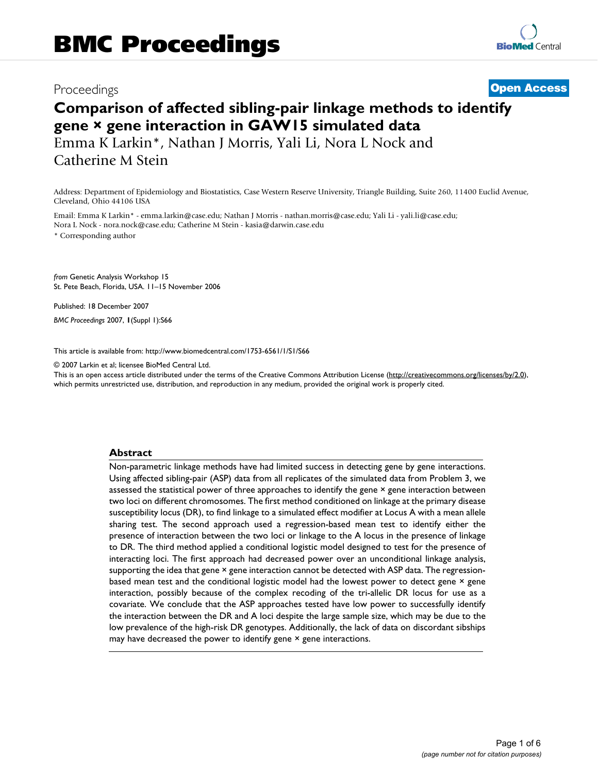## Proceedings **[Open Access](http://www.biomedcentral.com/info/about/charter/)**

# **Comparison of affected sibling-pair linkage methods to identify gene × gene interaction in GAW15 simulated data**

Emma K Larkin\*, Nathan J Morris, Yali Li, Nora L Nock and Catherine M Stein

Address: Department of Epidemiology and Biostatistics, Case Western Reserve University, Triangle Building, Suite 260, 11400 Euclid Avenue, Cleveland, Ohio 44106 USA

Email: Emma K Larkin\* - emma.larkin@case.edu; Nathan J Morris - nathan.morris@case.edu; Yali Li - yali.li@case.edu; Nora L Nock - nora.nock@case.edu; Catherine M Stein - kasia@darwin.case.edu

\* Corresponding author

*from* Genetic Analysis Workshop 15 St. Pete Beach, Florida, USA. 11–15 November 2006

Published: 18 December 2007 *BMC Proceedings* 2007, **1**(Suppl 1):S66

[This article is available from: http://www.biomedcentral.com/1753-6561/1/S1/S66](http://www.biomedcentral.com/1753-6561/1/S1/S66)

© 2007 Larkin et al; licensee BioMed Central Ltd.

This is an open access article distributed under the terms of the Creative Commons Attribution License [\(http://creativecommons.org/licenses/by/2.0\)](http://creativecommons.org/licenses/by/2.0), which permits unrestricted use, distribution, and reproduction in any medium, provided the original work is properly cited.

#### **Abstract**

Non-parametric linkage methods have had limited success in detecting gene by gene interactions. Using affected sibling-pair (ASP) data from all replicates of the simulated data from Problem 3, we assessed the statistical power of three approaches to identify the gene × gene interaction between two loci on different chromosomes. The first method conditioned on linkage at the primary disease susceptibility locus (DR), to find linkage to a simulated effect modifier at Locus A with a mean allele sharing test. The second approach used a regression-based mean test to identify either the presence of interaction between the two loci or linkage to the A locus in the presence of linkage to DR. The third method applied a conditional logistic model designed to test for the presence of interacting loci. The first approach had decreased power over an unconditional linkage analysis, supporting the idea that gene × gene interaction cannot be detected with ASP data. The regressionbased mean test and the conditional logistic model had the lowest power to detect gene × gene interaction, possibly because of the complex recoding of the tri-allelic DR locus for use as a covariate. We conclude that the ASP approaches tested have low power to successfully identify the interaction between the DR and A loci despite the large sample size, which may be due to the low prevalence of the high-risk DR genotypes. Additionally, the lack of data on discordant sibships may have decreased the power to identify gene  $\times$  gene interactions.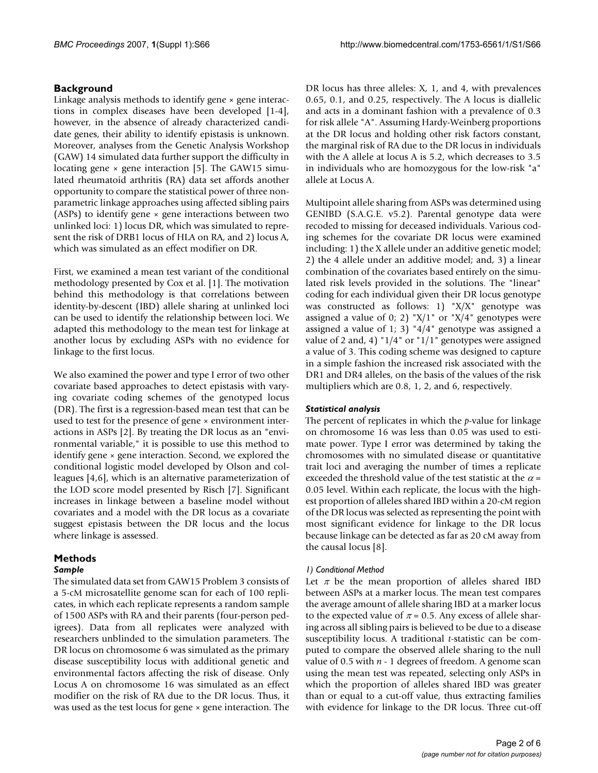### **Background**

Linkage analysis methods to identify gene × gene interactions in complex diseases have been developed [1-4], however, in the absence of already characterized candidate genes, their ability to identify epistasis is unknown. Moreover, analyses from the Genetic Analysis Workshop (GAW) 14 simulated data further support the difficulty in locating gene  $\times$  gene interaction [5]. The GAW15 simulated rheumatoid arthritis (RA) data set affords another opportunity to compare the statistical power of three nonparametric linkage approaches using affected sibling pairs (ASPs) to identify gene  $\times$  gene interactions between two unlinked loci: 1) locus DR, which was simulated to represent the risk of DRB1 locus of HLA on RA, and 2) locus A, which was simulated as an effect modifier on DR.

First, we examined a mean test variant of the conditional methodology presented by Cox et al. [1]. The motivation behind this methodology is that correlations between identity-by-descent (IBD) allele sharing at unlinked loci can be used to identify the relationship between loci. We adapted this methodology to the mean test for linkage at another locus by excluding ASPs with no evidence for linkage to the first locus.

We also examined the power and type I error of two other covariate based approaches to detect epistasis with varying covariate coding schemes of the genotyped locus (DR). The first is a regression-based mean test that can be used to test for the presence of gene × environment interactions in ASPs [2]. By treating the DR locus as an "environmental variable," it is possible to use this method to identify gene  $\times$  gene interaction. Second, we explored the conditional logistic model developed by Olson and colleagues [4,6], which is an alternative parameterization of the LOD score model presented by Risch [7]. Significant increases in linkage between a baseline model without covariates and a model with the DR locus as a covariate suggest epistasis between the DR locus and the locus where linkage is assessed.

#### **Methods** *Sample*

The simulated data set from GAW15 Problem 3 consists of a 5-cM microsatellite genome scan for each of 100 replicates, in which each replicate represents a random sample of 1500 ASPs with RA and their parents (four-person pedigrees). Data from all replicates were analyzed with researchers unblinded to the simulation parameters. The DR locus on chromosome 6 was simulated as the primary disease susceptibility locus with additional genetic and environmental factors affecting the risk of disease. Only Locus A on chromosome 16 was simulated as an effect modifier on the risk of RA due to the DR locus. Thus, it was used as the test locus for gene  $\times$  gene interaction. The DR locus has three alleles: X, 1, and 4, with prevalences 0.65, 0.1, and 0.25, respectively. The A locus is diallelic and acts in a dominant fashion with a prevalence of 0.3 for risk allele "A". Assuming Hardy-Weinberg proportions at the DR locus and holding other risk factors constant, the marginal risk of RA due to the DR locus in individuals with the A allele at locus A is 5.2, which decreases to 3.5 in individuals who are homozygous for the low-risk "a" allele at Locus A.

Multipoint allele sharing from ASPs was determined using GENIBD (S.A.G.E. v5.2). Parental genotype data were recoded to missing for deceased individuals. Various coding schemes for the covariate DR locus were examined including: 1) the X allele under an additive genetic model; 2) the 4 allele under an additive model; and, 3) a linear combination of the covariates based entirely on the simulated risk levels provided in the solutions. The "linear" coding for each individual given their DR locus genotype was constructed as follows: 1) "X/X" genotype was assigned a value of 0; 2) " $X/1$ " or " $X/4$ " genotypes were assigned a value of 1; 3) "4/4" genotype was assigned a value of 2 and, 4) "1/4" or "1/1" genotypes were assigned a value of 3. This coding scheme was designed to capture in a simple fashion the increased risk associated with the DR1 and DR4 alleles, on the basis of the values of the risk multipliers which are 0.8, 1, 2, and 6, respectively.

### *Statistical analysis*

The percent of replicates in which the *p*-value for linkage on chromosome 16 was less than 0.05 was used to estimate power. Type I error was determined by taking the chromosomes with no simulated disease or quantitative trait loci and averaging the number of times a replicate exceeded the threshold value of the test statistic at the  $\alpha$  = 0.05 level. Within each replicate, the locus with the highest proportion of alleles shared IBD within a 20-cM region of the DR locus was selected as representing the point with most significant evidence for linkage to the DR locus because linkage can be detected as far as 20 cM away from the causal locus [8].

### *1) Conditional Method*

Let  $\pi$  be the mean proportion of alleles shared IBD between ASPs at a marker locus. The mean test compares the average amount of allele sharing IBD at a marker locus to the expected value of  $\pi$  = 0.5. Any excess of allele sharing across all sibling pairs is believed to be due to a disease susceptibility locus. A traditional *t*-statistic can be computed to compare the observed allele sharing to the null value of 0.5 with *n* - 1 degrees of freedom. A genome scan using the mean test was repeated, selecting only ASPs in which the proportion of alleles shared IBD was greater than or equal to a cut-off value, thus extracting families with evidence for linkage to the DR locus. Three cut-off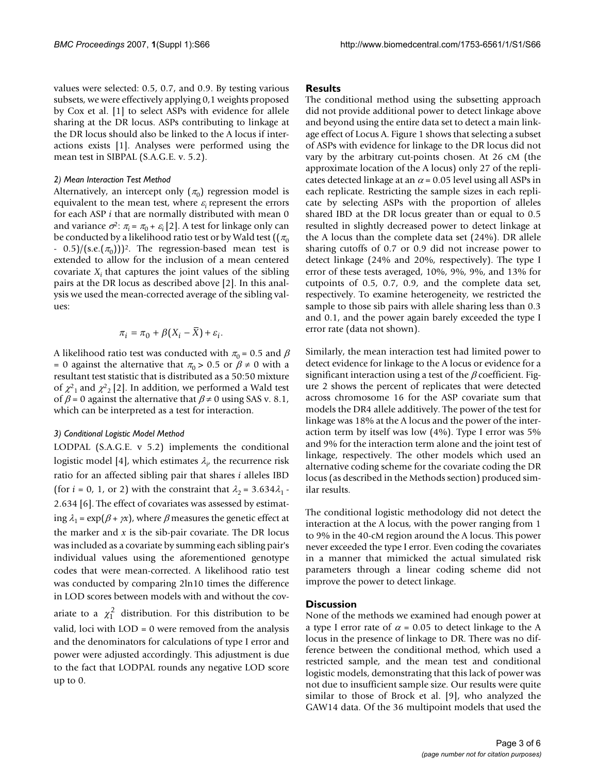values were selected: 0.5, 0.7, and 0.9. By testing various subsets, we were effectively applying 0,1 weights proposed by Cox et al. [1] to select ASPs with evidence for allele sharing at the DR locus. ASPs contributing to linkage at the DR locus should also be linked to the A locus if interactions exists [1]. Analyses were performed using the mean test in SIBPAL (S.A.G.E. v. 5.2).

#### *2) Mean Interaction Test Method*

Alternatively, an intercept only  $(\pi_0)$  regression model is equivalent to the mean test, where  $\varepsilon_i$  represent the errors for each ASP *i* that are normally distributed with mean 0 and variance  $\sigma^2$ :  $\pi_i = \pi_0 + \varepsilon_i$  [2]. A test for linkage only can be conducted by a likelihood ratio test or by Wald test ( $(\pi_0)$  $-$  0.5)/(s.e. $(\pi_0)$ )<sup>2</sup>. The regression-based mean test is extended to allow for the inclusion of a mean centered covariate  $X_i$  that captures the joint values of the sibling pairs at the DR locus as described above [2]. In this analysis we used the mean-corrected average of the sibling values:

$$
\pi_i = \pi_0 + \beta (X_i - \overline{X}) + \varepsilon_i.
$$

A likelihood ratio test was conducted with  $\pi_0 = 0.5$  and  $\beta$ = 0 against the alternative that  $\pi_0 > 0.5$  or  $\beta \neq 0$  with a resultant test statistic that is distributed as a 50:50 mixture of  $\chi^2$ <sub>1</sub> and  $\chi^2$ <sub>2</sub> [2]. In addition, we performed a Wald test of  $\beta$  = 0 against the alternative that  $\beta \neq 0$  using SAS v. 8.1, which can be interpreted as a test for interaction.

#### *3) Conditional Logistic Model Method*

LODPAL (S.A.G.E. v 5.2) implements the conditional logistic model [4], which estimates  $\lambda_{i'}$  the recurrence risk ratio for an affected sibling pair that shares *i* alleles IBD (for *i* = 0, 1, or 2) with the constraint that  $\lambda_2$  = 3.634 $\lambda_1$  -2.634 [6]. The effect of covariates was assessed by estimating  $\lambda_1 = \exp(\beta + \gamma x)$ , where  $\beta$  measures the genetic effect at the marker and *x* is the sib-pair covariate. The DR locus was included as a covariate by summing each sibling pair's individual values using the aforementioned genotype codes that were mean-corrected. A likelihood ratio test was conducted by comparing 2ln10 times the difference in LOD scores between models with and without the cov-

ariate to a  $\chi_1^2$  distribution. For this distribution to be valid, loci with LOD = 0 were removed from the analysis and the denominators for calculations of type I error and power were adjusted accordingly. This adjustment is due to the fact that LODPAL rounds any negative LOD score up to 0.

#### **Results**

The conditional method using the subsetting approach did not provide additional power to detect linkage above and beyond using the entire data set to detect a main linkage effect of Locus A. Figure 1 shows that selecting a subset of ASPs with evidence for linkage to the DR locus did not vary by the arbitrary cut-points chosen. At 26 cM (the approximate location of the A locus) only 27 of the replicates detected linkage at an  $\alpha$  = 0.05 level using all ASPs in each replicate. Restricting the sample sizes in each replicate by selecting ASPs with the proportion of alleles shared IBD at the DR locus greater than or equal to 0.5 resulted in slightly decreased power to detect linkage at the A locus than the complete data set (24%). DR allele sharing cutoffs of 0.7 or 0.9 did not increase power to detect linkage (24% and 20%, respectively). The type I error of these tests averaged, 10%, 9%, 9%, and 13% for cutpoints of 0.5, 0.7, 0.9, and the complete data set, respectively. To examine heterogeneity, we restricted the sample to those sib pairs with allele sharing less than 0.3 and 0.1, and the power again barely exceeded the type I error rate (data not shown).

Similarly, the mean interaction test had limited power to detect evidence for linkage to the A locus or evidence for a significant interaction using a test of the  $\beta$  coefficient. Figure 2 shows the percent of replicates that were detected across chromosome 16 for the ASP covariate sum that models the DR4 allele additively. The power of the test for linkage was 18% at the A locus and the power of the interaction term by itself was low (4%). Type I error was 5% and 9% for the interaction term alone and the joint test of linkage, respectively. The other models which used an alternative coding scheme for the covariate coding the DR locus (as described in the Methods section) produced similar results.

The conditional logistic methodology did not detect the interaction at the A locus, with the power ranging from 1 to 9% in the 40-cM region around the A locus. This power never exceeded the type I error. Even coding the covariates in a manner that mimicked the actual simulated risk parameters through a linear coding scheme did not improve the power to detect linkage.

#### **Discussion**

None of the methods we examined had enough power at a type I error rate of  $\alpha$  = 0.05 to detect linkage to the A locus in the presence of linkage to DR. There was no difference between the conditional method, which used a restricted sample, and the mean test and conditional logistic models, demonstrating that this lack of power was not due to insufficient sample size. Our results were quite similar to those of Brock et al. [9], who analyzed the GAW14 data. Of the 36 multipoint models that used the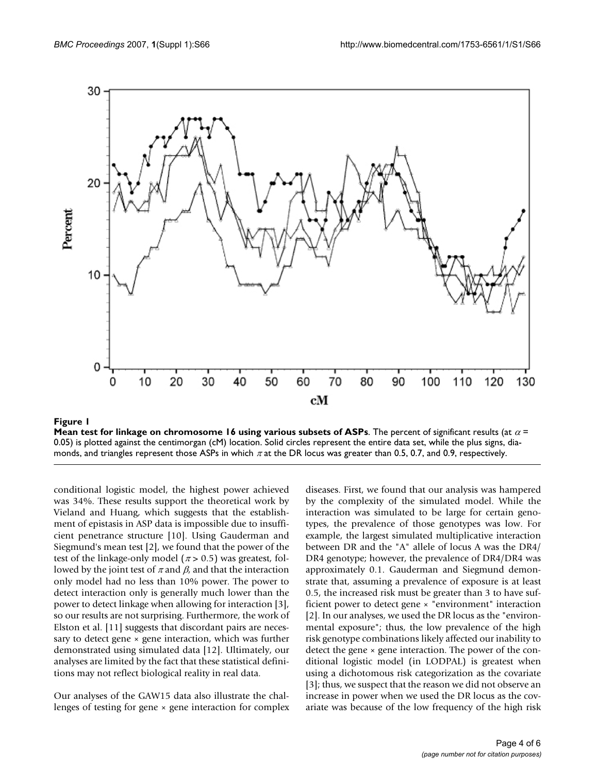

**Mean test for linkage on chromosome 16 using various subsets of ASPs**. The percent of significant results (at <sup>α</sup> = 0.05) is plotted against the centimorgan (cM) location. Solid circles represent the entire data set, while the plus signs, diamonds, and triangles represent those ASPs in which  $\pi$  at the DR locus was greater than 0.5, 0.7, and 0.9, respectively.

conditional logistic model, the highest power achieved was 34%. These results support the theoretical work by Vieland and Huang, which suggests that the establishment of epistasis in ASP data is impossible due to insufficient penetrance structure [10]. Using Gauderman and Siegmund's mean test [2], we found that the power of the test of the linkage-only model ( $\pi$  > 0.5) was greatest, followed by the joint test of  $\pi$  and  $\beta$ , and that the interaction only model had no less than 10% power. The power to detect interaction only is generally much lower than the power to detect linkage when allowing for interaction [3], so our results are not surprising. Furthermore, the work of Elston et al. [11] suggests that discordant pairs are necessary to detect gene  $\times$  gene interaction, which was further demonstrated using simulated data [12]. Ultimately, our analyses are limited by the fact that these statistical definitions may not reflect biological reality in real data.

Our analyses of the GAW15 data also illustrate the challenges of testing for gene  $\times$  gene interaction for complex diseases. First, we found that our analysis was hampered by the complexity of the simulated model. While the interaction was simulated to be large for certain genotypes, the prevalence of those genotypes was low. For example, the largest simulated multiplicative interaction between DR and the "A" allele of locus A was the DR4/ DR4 genotype; however, the prevalence of DR4/DR4 was approximately 0.1. Gauderman and Siegmund demonstrate that, assuming a prevalence of exposure is at least 0.5, the increased risk must be greater than 3 to have sufficient power to detect gene × "environment" interaction [2]. In our analyses, we used the DR locus as the "environmental exposure"; thus, the low prevalence of the high risk genotype combinations likely affected our inability to detect the gene  $\times$  gene interaction. The power of the conditional logistic model (in LODPAL) is greatest when using a dichotomous risk categorization as the covariate [3]; thus, we suspect that the reason we did not observe an increase in power when we used the DR locus as the covariate was because of the low frequency of the high risk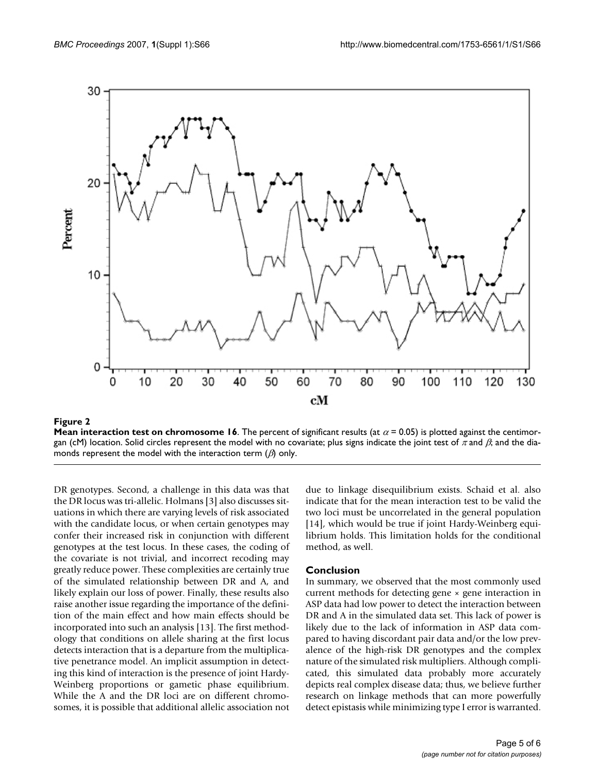

#### **Figure 2**

**Mean interaction test on chromosome 16**. The percent of significant results (at  $\alpha$  = 0.05) is plotted against the centimorgan (cM) location. Solid circles represent the model with no covariate; plus signs indicate the joint test of  $\pi$  and  $\beta$ ; and the diamonds represent the model with the interaction term  $(\beta)$  only.

DR genotypes. Second, a challenge in this data was that the DR locus was tri-allelic. Holmans [3] also discusses situations in which there are varying levels of risk associated with the candidate locus, or when certain genotypes may confer their increased risk in conjunction with different genotypes at the test locus. In these cases, the coding of the covariate is not trivial, and incorrect recoding may greatly reduce power. These complexities are certainly true of the simulated relationship between DR and A, and likely explain our loss of power. Finally, these results also raise another issue regarding the importance of the definition of the main effect and how main effects should be incorporated into such an analysis [13]. The first methodology that conditions on allele sharing at the first locus detects interaction that is a departure from the multiplicative penetrance model. An implicit assumption in detecting this kind of interaction is the presence of joint Hardy-Weinberg proportions or gametic phase equilibrium. While the A and the DR loci are on different chromosomes, it is possible that additional allelic association not

due to linkage disequilibrium exists. Schaid et al. also indicate that for the mean interaction test to be valid the two loci must be uncorrelated in the general population [14], which would be true if joint Hardy-Weinberg equilibrium holds. This limitation holds for the conditional method, as well.

#### **Conclusion**

In summary, we observed that the most commonly used current methods for detecting gene × gene interaction in ASP data had low power to detect the interaction between DR and A in the simulated data set. This lack of power is likely due to the lack of information in ASP data compared to having discordant pair data and/or the low prevalence of the high-risk DR genotypes and the complex nature of the simulated risk multipliers. Although complicated, this simulated data probably more accurately depicts real complex disease data; thus, we believe further research on linkage methods that can more powerfully detect epistasis while minimizing type I error is warranted.